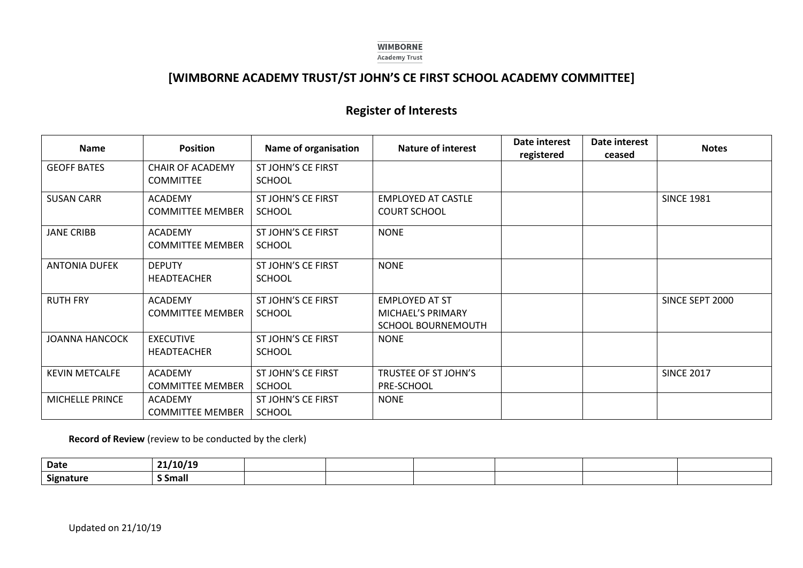## **WIMBORNE Academy Trust**

## **[WIMBORNE ACADEMY TRUST/ST JOHN'S CE FIRST SCHOOL ACADEMY COMMITTEE]**

## **Register of Interests**

| <b>Name</b>           | <b>Position</b>                             | Name of organisation                | <b>Nature of interest</b>                                        | Date interest<br>registered | Date interest<br>ceased | <b>Notes</b>      |
|-----------------------|---------------------------------------------|-------------------------------------|------------------------------------------------------------------|-----------------------------|-------------------------|-------------------|
| <b>GEOFF BATES</b>    | <b>CHAIR OF ACADEMY</b><br><b>COMMITTEE</b> | ST JOHN'S CE FIRST<br><b>SCHOOL</b> |                                                                  |                             |                         |                   |
| <b>SUSAN CARR</b>     | <b>ACADEMY</b><br><b>COMMITTEE MEMBER</b>   | ST JOHN'S CE FIRST<br><b>SCHOOL</b> | <b>EMPLOYED AT CASTLE</b><br><b>COURT SCHOOL</b>                 |                             |                         | <b>SINCE 1981</b> |
| <b>JANE CRIBB</b>     | <b>ACADEMY</b><br><b>COMMITTEE MEMBER</b>   | ST JOHN'S CE FIRST<br><b>SCHOOL</b> | <b>NONE</b>                                                      |                             |                         |                   |
| <b>ANTONIA DUFEK</b>  | <b>DEPUTY</b><br>HEADTEACHER                | ST JOHN'S CE FIRST<br><b>SCHOOL</b> | <b>NONE</b>                                                      |                             |                         |                   |
| <b>RUTH FRY</b>       | <b>ACADEMY</b><br><b>COMMITTEE MEMBER</b>   | ST JOHN'S CE FIRST<br><b>SCHOOL</b> | <b>EMPLOYED AT ST</b><br>MICHAEL'S PRIMARY<br>SCHOOL BOURNEMOUTH |                             |                         | SINCE SEPT 2000   |
| <b>JOANNA HANCOCK</b> | <b>EXECUTIVE</b><br>HEADTEACHER             | ST JOHN'S CE FIRST<br><b>SCHOOL</b> | <b>NONE</b>                                                      |                             |                         |                   |
| <b>KEVIN METCALFE</b> | <b>ACADEMY</b><br><b>COMMITTEE MEMBER</b>   | ST JOHN'S CE FIRST<br><b>SCHOOL</b> | TRUSTEE OF ST JOHN'S<br>PRE-SCHOOL                               |                             |                         | <b>SINCE 2017</b> |
| MICHELLE PRINCE       | <b>ACADEMY</b><br><b>COMMITTEE MEMBER</b>   | ST JOHN'S CE FIRST<br><b>SCHOOL</b> | <b>NONE</b>                                                      |                             |                         |                   |

**Record of Review** (review to be conducted by the clerk)

| Date      | 10/19        |  |  |  |
|-----------|--------------|--|--|--|
| Signature | <b>Small</b> |  |  |  |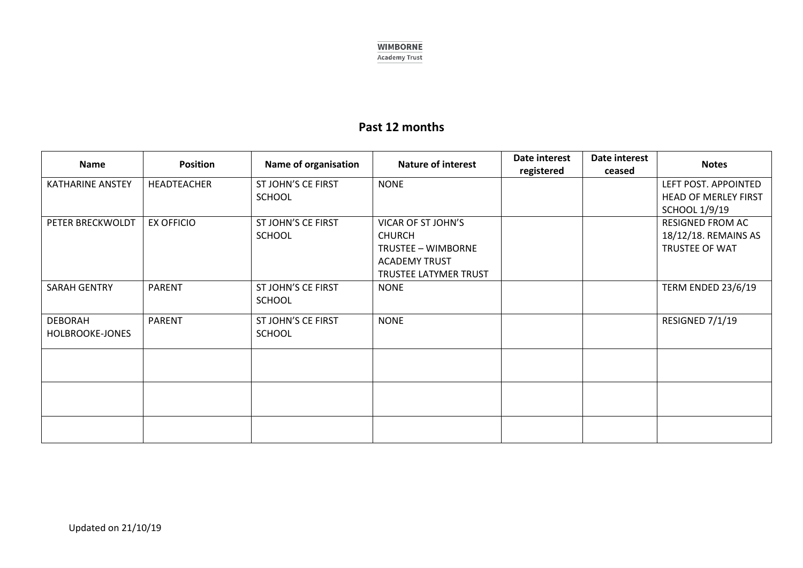

## **Past 12 months**

| <b>Name</b>             | <b>Position</b>   | Name of organisation | <b>Nature of interest</b> | Date interest<br>registered | Date interest<br>ceased | <b>Notes</b>                |
|-------------------------|-------------------|----------------------|---------------------------|-----------------------------|-------------------------|-----------------------------|
| <b>KATHARINE ANSTEY</b> | HEADTEACHER       | ST JOHN'S CE FIRST   | <b>NONE</b>               |                             |                         | LEFT POST. APPOINTED        |
|                         |                   | <b>SCHOOL</b>        |                           |                             |                         | <b>HEAD OF MERLEY FIRST</b> |
|                         |                   |                      |                           |                             |                         | <b>SCHOOL 1/9/19</b>        |
| PETER BRECKWOLDT        | <b>EX OFFICIO</b> | ST JOHN'S CE FIRST   | VICAR OF ST JOHN'S        |                             |                         | RESIGNED FROM AC            |
|                         |                   | <b>SCHOOL</b>        | <b>CHURCH</b>             |                             |                         | 18/12/18. REMAINS AS        |
|                         |                   |                      | TRUSTEE - WIMBORNE        |                             |                         | TRUSTEE OF WAT              |
|                         |                   |                      | <b>ACADEMY TRUST</b>      |                             |                         |                             |
|                         |                   |                      | TRUSTEE LATYMER TRUST     |                             |                         |                             |
| <b>SARAH GENTRY</b>     | <b>PARENT</b>     | ST JOHN'S CE FIRST   | <b>NONE</b>               |                             |                         | TERM ENDED 23/6/19          |
|                         |                   | <b>SCHOOL</b>        |                           |                             |                         |                             |
| <b>DEBORAH</b>          | <b>PARENT</b>     | ST JOHN'S CE FIRST   | <b>NONE</b>               |                             |                         | RESIGNED 7/1/19             |
| HOLBROOKE-JONES         |                   | <b>SCHOOL</b>        |                           |                             |                         |                             |
|                         |                   |                      |                           |                             |                         |                             |
|                         |                   |                      |                           |                             |                         |                             |
|                         |                   |                      |                           |                             |                         |                             |
|                         |                   |                      |                           |                             |                         |                             |
|                         |                   |                      |                           |                             |                         |                             |
|                         |                   |                      |                           |                             |                         |                             |